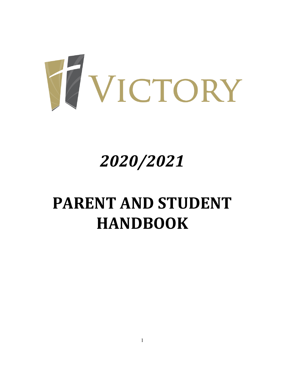

# *2020/2021*

# **PARENT AND STUDENT HANDBOOK**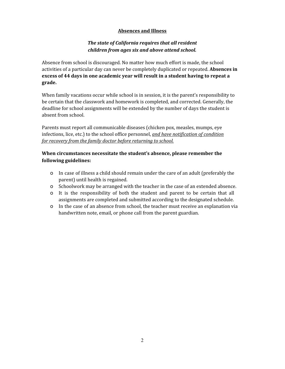## **Absences and Illness**

## *The state of California requires that all resident children from ages six and above attend school.*

Absence from school is discouraged. No matter how much effort is made, the school activities of a particular day can never be completely duplicated or repeated. **Absences in excess of 44 days in one academic year will result in a student having to repeat a grade.**

When family vacations occur while school is in session, it is the parent's responsibility to be certain that the classwork and homework is completed, and corrected. Generally, the deadline for school assignments will be extended by the number of days the student is absent from school.

Parents must report all communicable diseases (chicken pox, measles, mumps, eye infections, lice, etc.) to the school office personnel, *and have notification of condition for recovery from the family doctor before returning to school.*

## **When circumstances necessitate the student's absence, please remember the following guidelines:**

- o In case of illness a child should remain under the care of an adult (preferably the parent) until health is regained.
- o Schoolwork may be arranged with the teacher in the case of an extended absence.
- o It is the responsibility of both the student and parent to be certain that all assignments are completed and submitted according to the designated schedule.
- o In the case of an absence from school, the teacher must receive an explanation via handwritten note, email, or phone call from the parent guardian.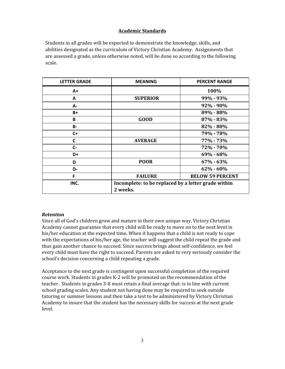### **Academic Standards**

Students in all grades will be expected to demonstrate the knowledge, skills, and abilities designated as the curriculum of Victory Christian Academy. Assignments that are assessed a grade, unless otherwise noted, will be done so according to the following scale.

| <b>LETTER GRADE</b> | <b>MEANING</b>                                                  | <b>PERCENT RANGE</b>    |  |
|---------------------|-----------------------------------------------------------------|-------------------------|--|
| $A+$                |                                                                 | 100%                    |  |
| A                   | <b>SUPERIOR</b>                                                 | $99\% - 93\%$           |  |
| А-                  |                                                                 | $92\% - 90\%$           |  |
| B+                  |                                                                 | 89% - 88%               |  |
| B                   | <b>GOOD</b>                                                     | 87% - 83%               |  |
| <b>B-</b>           |                                                                 | $82\% - 80\%$           |  |
| $C +$               |                                                                 | 79% - 78%               |  |
| C                   | <b>AVERAGE</b>                                                  | 77% - 73%               |  |
| C-                  |                                                                 | 72% - 70%               |  |
| D+                  |                                                                 | $69\% - 68\%$           |  |
| D                   | <b>POOR</b>                                                     | $67\% - 63\%$           |  |
| D-                  |                                                                 | $62\% - 60\%$           |  |
| F                   | <b>FAILURE</b>                                                  | <b>BELOW 59 PERCENT</b> |  |
| INC.                | Incomplete: to be replaced by a letter grade within<br>2 weeks. |                         |  |

#### *Retention*

Since all of God's children grow and mature in their own unique way, Victory Christian Academy cannot guarantee that every child will be ready to move on to the next level in his/her education at the expected time. When it happens that a child is not ready to cope with the expectations of his/her age, the teacher will suggest the child repeat the grade and thus gain another chance to succeed. Since success brings about self-confidence, we feel every child must have the right to succeed. Parents are asked to very seriously consider the school's decision concerning a child repeating a grade.

Acceptance to the next grade is contingent upon successful completion of the required course work. Students in grades K-2 will be promoted on the recommendation of the teacher. Students in grades 3-8 must retain a final average that: is in line with current school grading scales. Any student not having done may be required to seek outside tutoring or summer lessons and then take a test to be administered by Victory Christian Academy to insure that the student has the necessary skills for success at the next grade level.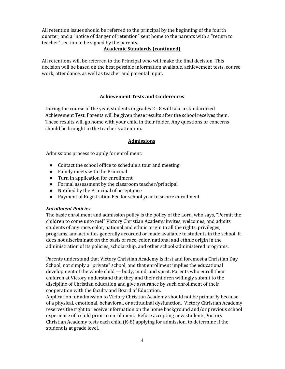All retention issues should be referred to the principal by the beginning of the fourth quarter, and a "notice of danger of retention" sent home to the parents with a "return to teacher" section to be signed by the parents.

### **Academic Standards (continued)**

All retentions will be referred to the Principal who will make the final decision. This decision will be based on the best possible information available, achievement tests, course work, attendance, as well as teacher and parental input.

#### **Achievement Tests and Conferences**

During the course of the year, students in grades 2 - 8 will take a standardized Achievement Test. Parents will be given these results after the school receives them. These results will go home with your child in their folder. Any questions or concerns should be brought to the teacher's attention.

#### **Admissions**

Admissions process to apply for enrollment:

- Contact the school office to schedule a tour and meeting
- Family meets with the Principal
- Turn in application for enrollment
- Formal assessment by the classroom teacher/principal
- Notified by the Principal of acceptance
- Payment of Registration Fee for school year to secure enrollment

#### *Enrollment Policies*

The basic enrollment and admission policy is the policy of the Lord, who says, "Permit the children to come unto me!" Victory Christian Academy invites, welcomes, and admits students of any race, color, national and ethnic origin to all the rights, privileges, programs, and activities generally accorded or made available to students in the school. It does not discriminate on the basis of race, color, national and ethnic origin in the administration of its policies, scholarship, and other school-administered programs.

Parents understand that Victory Christian Academy is first and foremost a Christian Day School, not simply a "private" school, and that enrollment implies the educational development of the whole child — body, mind, and spirit. Parents who enroll their children at Victory understand that they and their children willingly submit to the discipline of Christian education and give assurance by such enrollment of their cooperation with the faculty and Board of Education.

Application for admission to Victory Christian Academy should not be primarily because of a physical, emotional, behavioral, or attitudinal dysfunction. Victory Christian Academy reserves the right to receive information on the home background and/or previous school experience of a child prior to enrollment. Before accepting new students, Victory Christian Academy tests each child (K-8) applying for admission, to determine if the student is at grade level.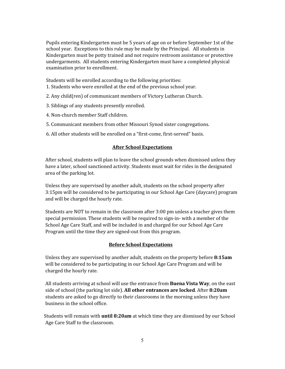Pupils entering Kindergarten must be 5 years of age on or before September 1st of the school year. Exceptions to this rule may be made by the Principal. All students in Kindergarten must be potty trained and not require restroom assistance or protective undergarments. All students entering Kindergarten must have a completed physical examination prior to enrollment.

Students will be enrolled according to the following priorities:

- 1. Students who were enrolled at the end of the previous school year.
- 2. Any child(ren) of communicant members of Victory Lutheran Church.
- 3. Siblings of any students presently enrolled.
- 4. Non-church member Staff children.
- 5. Communicant members from other Missouri Synod sister congregations.
- 6. All other students will be enrolled on a "first-come, first-served" basis.

#### **After School Expectations**

After school, students will plan to leave the school grounds when dismissed unless they have a later, school sanctioned activity. Students must wait for rides in the designated area of the parking lot.

Unless they are supervised by another adult, students on the school property after 3:15pm will be considered to be participating in our School Age Care (daycare) program and will be charged the hourly rate.

Students are NOT to remain in the classroom after 3:00 pm unless a teacher gives them special permission. These students will be required to sign-in- with a member of the School Age Care Staff, and will be included in and charged for our School Age Care Program until the time they are signed-out from this program.

#### **Before School Expectations**

Unless they are supervised by another adult, students on the property before **8:15am** will be considered to be participating in our School Age Care Program and will be charged the hourly rate.

All students arriving at school will use the entrance from **Buena Vista Way**, on the east side of school (the parking lot side). **All other entrances are locked**. After **8:20am** students are asked to go directly to their classrooms in the morning unless they have business in the school office.

Students will remain with **until 8:20am** at which time they are dismissed by our School Age Care Staff to the classroom.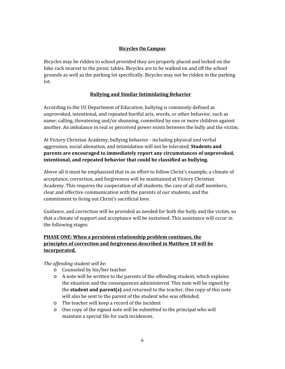## **Bicycles On Campus**

Bicycles may be ridden to school provided they are properly placed and locked on the bike rack nearest to the picnic tables. Bicycles are to be walked on and off the school grounds as well as the parking lot specifically. Bicycles may not be ridden in the parking lot.

## **Bullying and Similar Intimidating Behavior**

According to the US Department of Education, bullying is commonly defined as unprovoked, intentional, and repeated hurtful acts, words, or other behavior, such as name: calling, threatening and/or shunning, committed by one or more children against another. An imbalance in real or perceived power exists between the bully and the victim.

At Victory Christian Academy, bullying behavior - including physical and verbal aggression, social alienation, and intimidation will not be tolerated. **Students and parents are encouraged to immediately report any circumstances of unprovoked, intentional, and repeated behavior that could be classified as bullying.**

Above all it must be emphasized that in an effort to follow Christ's example, a climate of acceptance, correction, and forgiveness will be maintained at Victory Christian Academy. This requires the cooperation of all students, the care of all staff members, clear and effective communication with the parents of our students, and the commitment to living out Christ's sacrificial love.

Guidance, and correction will be provided as needed for both the bully and the victim, so that a climate of support and acceptance will be sustained. This assistance will occur in the following stages:

## **PHASE ONE: When a persistent relationship problem continues, the principles of correction and forgiveness described in Matthew 18 will be incorporated.**

## *The of ending student will be:*

- o Counseled by his/her teacher
- o A note will be written to the parents of the offending student, which explains the situation and the consequences administered. This note will be signed by the **student and parent(s)** and returned to the teacher. One copy of this note will also be sent to the parent of the student who was offended.
- o The teacher will keep a record of the incident
- o One copy of the signed note will be submitted to the principal who will maintain a special file for such incidences.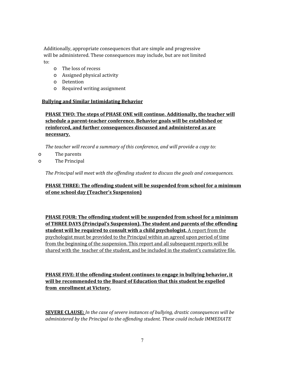Additionally, appropriate consequences that are simple and progressive will be administered. These consequences may include, but are not limited to:

- o The loss of recess
- o Assigned physical activity
- o Detention
- o Required writing assignment

## **Bullying and Similar Intimidating Behavior**

## **PHASE TWO: The steps of PHASE ONE will continue. Additionally, the teacher will schedule a parent-teacher conference. Behavior goals will be established or reinforced, and further consequences discussed and administered as are necessary.**

*The teacher will record a summary of this conference, and will provide a copy to:*

- o The parents
- o The Principal

*The Principal will meet with the of ending student to discuss the goals and consequences.*

## **PHASE THREE: The offending student will be suspended from school for a minimum of one school day (Teacher's Suspension)**

**PHASE FOUR: The offending student will be suspended from school for a minimum of THREE DAYS (Principal's Suspension). The student and parents of the offending student will be required to consult with a child psychologist.** A report from the psychologist must be provided to the Principal within an agreed upon period of time from the beginning of the suspension. This report and all subsequent reports will be shared with the teacher of the student, and be included in the student's cumulative file.

**PHASE FIVE: If the offending student continues to engage in bullying behavior, it will be recommended to the Board of Education that this student be expelled from enrollment at Victory.**

**SEVERE CLAUSE:** *In the case of severe instances of bullying, drastic consequences will be administered by the Principal to the of ending student. These could include IMMEDIATE*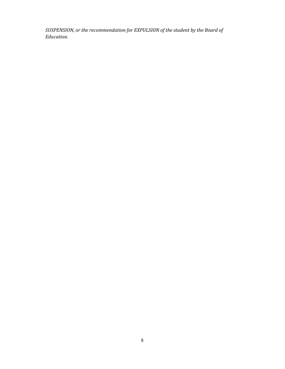*SUSPENSION, or the recommendation for EXPULSION of the student by the Board of Education.*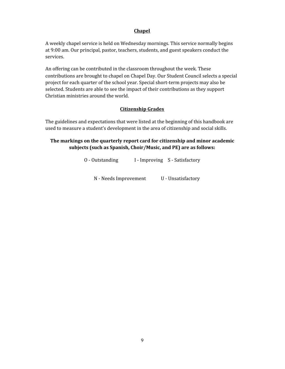#### **Chapel**

A weekly chapel service is held on Wednesday mornings. This service normally begins at 9:00 am. Our principal, pastor, teachers, students, and guest speakers conduct the services.

An offering can be contributed in the classroom throughout the week. These contributions are brought to chapel on Chapel Day. Our Student Council selects a special project for each quarter of the school year. Special short-term projects may also be selected. Students are able to see the impact of their contributions as they support Christian ministries around the world.

#### **Citizenship Grades**

The guidelines and expectations that were listed at the beginning of this handbook are used to measure a student's development in the area of citizenship and social skills.

## **The markings on the quarterly report card for citizenship and minor academic subjects (such as Spanish, Choir/Music, and PE) are as follows:**

O - Outstanding I - Improving S - Satisfactory N - Needs Improvement U - Unsatisfactory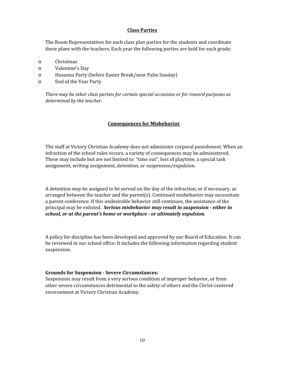#### **Class Parties**

The Room Representatives for each class plan parties for the students and coordinate these plans with the teachers. Each year the following parties are held for each grade:

- o Christmas
- o Valentine's Day
- o Hosanna Party (before Easter Break/near Palm Sunday)
- o End of the Year Party

*There may be other class parties for certain special occasions or for reward purposes as determined by the teacher.*

#### **Consequences for Misbehavior**

The staff at Victory Christian Academy does not administer corporal punishment. When an infraction of the school rules occurs, a variety of consequences may be administered. These may include but are not limited to: "time out", loss of playtime, a special task assignment, writing assignment, detention, or suspension/expulsion.

A detention may be assigned to be served on the day of the infraction, or if necessary, as arranged between the teacher and the parent(s). Continued misbehavior may necessitate a parent conference. If this undesirable behavior still continues, the assistance of the principal may be enlisted. *Serious misbehavior may result in suspension - either in school, or at the parent's home or workplace - or ultimately expulsion.*

A policy for discipline has been developed and approved by our Board of Education. It can be reviewed in our school office. It includes the following information regarding student suspension.

#### **Grounds for Suspension - Severe Circumstances:**

Suspension may result from a very serious condition of improper behavior, or from other severe circumstances detrimental to the safety of others and the Christ-centered environment at Victory Christian Academy.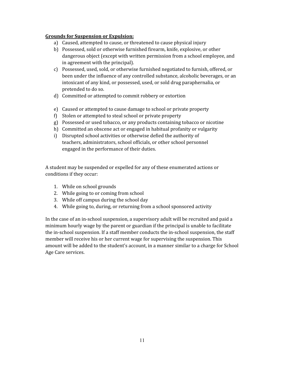#### **Grounds for Suspension or Expulsion:**

- a) Caused, attempted to cause, or threatened to cause physical injury
- b) Possessed, sold or otherwise furnished firearm, knife, explosive, or other dangerous object (except with written permission from a school employee, and in agreement with the principal).
- c) Possessed, used, sold, or otherwise furnished negotiated to furnish, offered, or been under the influence of any controlled substance, alcoholic beverages, or an intoxicant of any kind, or possessed, used, or sold drug paraphernalia, or pretended to do so.
- d) Committed or attempted to commit robbery or extortion
- e) Caused or attempted to cause damage to school or private property
- f) Stolen or attempted to steal school or private property
- g) Possessed or used tobacco, or any products containing tobacco or nicotine
- h) Committed an obscene act or engaged in habitual profanity or vulgarity
- i) Disrupted school activities or otherwise defied the authority of teachers, administrators, school officials, or other school personnel engaged in the performance of their duties.

A student may be suspended or expelled for any of these enumerated actions or conditions if they occur:

- 1. While on school grounds
- 2. While going to or coming from school
- 3. While off campus during the school day
- 4. While going to, during, or returning from a school sponsored activity

In the case of an in-school suspension, a supervisory adult will be recruited and paid a minimum hourly wage by the parent or guardian if the principal is unable to facilitate the in-school suspension. If a staff member conducts the in-school suspension, the staff member will receive his or her current wage for supervising the suspension. This amount will be added to the student's account, in a manner similar to a charge for School Age Care services.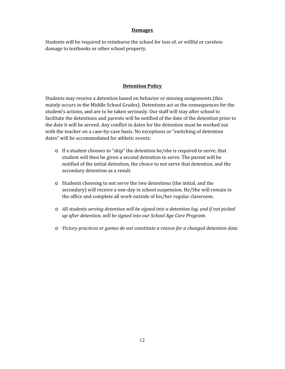#### **Damages**

Students will be required to reimburse the school for loss of, or willful or careless damage to textbooks or other school property.

## **Detention Policy**

Students may receive a detention based on behavior or missing assignments (this mainly occurs in the Middle School Grades). Detentions act as the consequences for the student's actions, and are to be taken seriously. Our staff will stay after school to facilitate the detentions and parents will be notified of the date of the detention prior to the date it will be served. Any conflict in dates for the detention must be worked out with the teacher on a case-by-case basis. No exceptions or "switching of detention dates" will be accommodated for athletic events.

- o If a student chooses to "skip" the detention he/she is required to serve, that student will then be given a second detention to serve. The parent will be notified of the initial detention, the choice to not serve that detention, and the secondary detention as a result.
- o Students choosing to not serve the two detentions (the initial, and the secondary) will receive a one-day in school suspension. He/She will remain in the office and complete all work outside of his/her regular classroom.
- *o All students serving detention will be signed into a detention log, and if not picked up after detention, will be signed into our School Age Care Program.*
- *o Victory practices or games do not constitute a reason for a changed detention date.*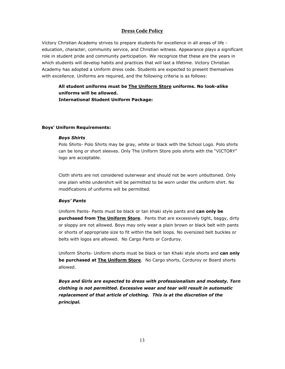#### **Dress Code Policy**

Victory Christian Academy strives to prepare students for excellence in all areas of life education, character, community service, and Christian witness. Appearance plays a significant role in student pride and community participation. We recognize that these are the years in which students will develop habits and practices that will last a lifetime. Victory Christian Academy has adopted a Uniform dress code. Students are expected to present themselves with excellence. Uniforms are required, and the following criteria is as follows:

**All student uniforms must be The Uniform Store uniforms. No look-alike uniforms will be allowed. International Student Uniform Package:**

#### **Boys' Uniform Requirements:**

#### *Boys Shirts*

Polo Shirts- Polo Shirts may be gray, white or black with the School Logo. Polo shirts can be long or short sleeves. Only The Uniform Store polo shirts with the "VICTORY" logo are acceptable.

Cloth shirts are not considered outerwear and should not be worn unbuttoned. Only one plain white undershirt will be permitted to be worn under the uniform shirt. No modifications of uniforms will be permitted.

#### *Boys' Pants*

Uniform Pants- Pants must be black or tan khaki style pants and **can only be purchased from The Uniform Store**. Pants that are excessively tight, baggy, dirty or sloppy are not allowed. Boys may only wear a plain brown or black belt with pants or shorts of appropriate size to fit within the belt loops. No oversized belt buckles or belts with logos are allowed. No Cargo Pants or Corduroy.

Uniform Shorts- Uniform shorts must be black or tan Khaki style shorts and **can only be purchased at The Uniform Store**. No Cargo shorts, Corduroy or Board shorts allowed.

*Boys and Girls are expected to dress with professionalism and modesty. Torn clothing is not permitted. Excessive wear and tear will result in automatic replacement of that article of clothing. This is at the discretion of the principal.*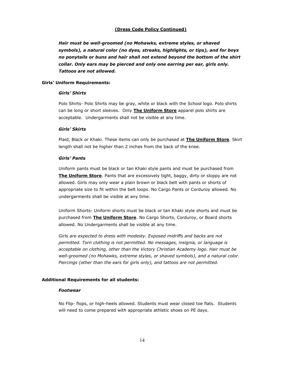#### **(Dress Code Policy Continued)**

*Hair must be well-groomed (no Mohawks, extreme styles, or shaved symbols), a natural color (no dyes, streaks, highlights, or tips), and for boys no ponytails or buns and hair shall not extend beyond the bottom of the shirt collar. Only ears may be pierced and only one earring per ear, girls only. Tattoos are not allowed.*

#### **Girls' Uniform Requirements:**

#### *Girls' Shirts*

Polo Shirts- Polo Shirts may be gray, white or black with the School logo. Polo shirts can be long or short sleeves. Only **The Uniform Store** apparel polo shirts are acceptable. Undergarments shall not be visible at any time.

#### *Girls' Skirts*

Plaid, Black or Khaki. These items can only be purchased at **The Uniform Store**. Skirt length shall not be higher than 2 inches from the back of the knee.

#### *Girls' Pants*

Uniform pants must be black or tan Khaki style pants and must be purchased from **The Uniform Store**. Pants that are excessively tight, baggy, dirty or sloppy are not allowed. Girls may only wear a plain brown or black belt with pants or shorts of appropriate size to fit within the belt loops. No Cargo Pants or Corduroy allowed. No undergarments shall be visible at any time.

Uniform Shorts- Uniform shorts must be black or tan Khaki style shorts and must be purchased from **The Uniform Store**. No Cargo Shorts, Corduroy, or Board shorts allowed. No Undergarments shall be visible at any time.

*Girls are expected to dress with modesty. Exposed midriffs and backs are not permitted. Torn clothing is not permitted. No messages, insignia, or language is acceptable on clothing, other than the Victory Christian Academy logo. Hair must be well-groomed (no Mohawks, extreme styles, or shaved symbols), and a natural color. Piercings (other than the ears for girls only), and tattoos are not permitted.*

#### **Additional Requirements for all students:**

#### *Footwear*

No Flip- flops, or high-heels allowed. Students must wear closed toe flats. Students will need to come prepared with appropriate athletic shoes on PE days.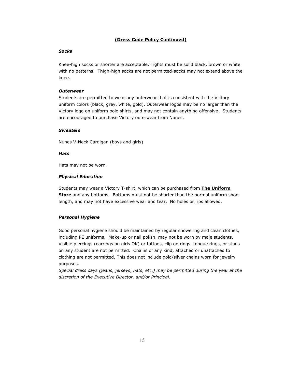#### **(Dress Code Policy Continued)**

#### *Socks*

Knee-high socks or shorter are acceptable. Tights must be solid black, brown or white with no patterns. Thigh-high socks are not permitted-socks may not extend above the knee.

#### *Outerwear*

Students are permitted to wear any outerwear that is consistent with the Victory uniform colors (black, grey, white, gold). Outerwear logos may be no larger than the Victory logo on uniform polo shirts, and may not contain anything offensive. Students are encouraged to purchase Victory outerwear from Nunes.

#### *Sweaters*

Nunes V-Neck Cardigan (boys and girls)

#### *Hats*

Hats may not be worn.

#### *Physical Education*

Students may wear a Victory T-shirt, which can be purchased from **The Uniform Store** and any bottoms. Bottoms must not be shorter than the normal uniform short length, and may not have excessive wear and tear. No holes or rips allowed.

#### *Personal Hygiene*

Good personal hygiene should be maintained by regular showering and clean clothes, including PE uniforms. Make-up or nail polish, may not be worn by male students. Visible piercings (earrings on girls OK) or tattoos, clip on rings, tongue rings, or studs on any student are not permitted. Chains of any kind, attached or unattached to clothing are not permitted. This does not include gold/silver chains worn for jewelry purposes.

*Special dress days (jeans, jerseys, hats, etc.) may be permitted during the year at the discretion of the Executive Director, and/or Principal.*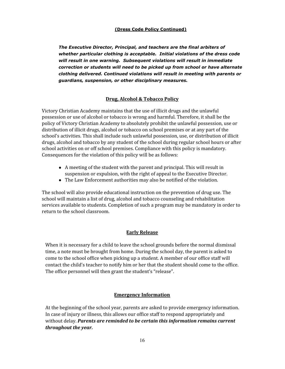#### **(Dress Code Policy Continued)**

*The Executive Director, Principal, and teachers are the final arbiters of whether particular clothing is acceptable. Initial violations of the dress code will result in one warning. Subsequent violations will result in immediate correction or students will need to be picked up from school or have alternate clothing delivered. Continued violations will result in meeting with parents or guardians, suspension, or other disciplinary measures.*

## **Drug, Alcohol & Tobacco Policy**

Victory Christian Academy maintains that the use of illicit drugs and the unlawful possession or use of alcohol or tobacco is wrong and harmful. Therefore, it shall be the policy of Victory Christian Academy to absolutely prohibit the unlawful possession, use or distribution of illicit drugs, alcohol or tobacco on school premises or at any part of the school's activities. This shall include such unlawful possession, use, or distribution of illicit drugs, alcohol and tobacco by any student of the school during regular school hours or after school activities on or off school premises. Compliance with this policy is mandatory. Consequences for the violation of this policy will be as follows:

- A meeting of the student with the parent and principal. This will result in suspension or expulsion, with the right of appeal to the Executive Director.
- The Law Enforcement authorities may also be notified of the violation.

The school will also provide educational instruction on the prevention of drug use. The school will maintain a list of drug, alcohol and tobacco counseling and rehabilitation services available to students. Completion of such a program may be mandatory in order to return to the school classroom.

## **Early Release**

When it is necessary for a child to leave the school grounds before the normal dismissal time, a note must be brought from home. During the school day, the parent is asked to come to the school office when picking up a student. A member of our office staff will contact the child's teacher to notify him or her that the student should come to the office. The office personnel will then grant the student's "release".

## **Emergency Information**

At the beginning of the school year, parents are asked to provide emergency information. In case of injury or illness, this allows our office staff to respond appropriately and without delay. *Parents are reminded to be certain this information remains current throughout the year.*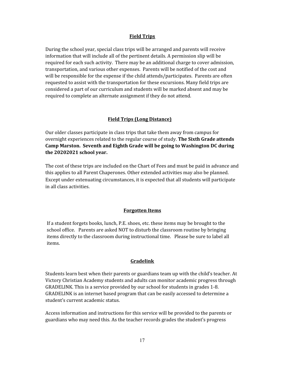#### **Field Trips**

During the school year, special class trips will be arranged and parents will receive information that will include all of the pertinent details. A permission slip will be required for each such activity. There may be an additional charge to cover admission, transportation, and various other expenses. Parents will be notified of the cost and will be responsible for the expense if the child attends/participates. Parents are often requested to assist with the transportation for these excursions. Many field trips are considered a part of our curriculum and students will be marked absent and may be required to complete an alternate assignment if they do not attend.

#### **Field Trips (Long Distance)**

Our older classes participate in class trips that take them away from campus for overnight experiences related to the regular course of study. **The Sixth Grade attends Camp Marston. Seventh and Eighth Grade will be going to Washington DC during the 20202021 school year.**

The cost of these trips are included on the Chart of Fees and must be paid in advance and this applies to all Parent Chaperones. Other extended activities may also be planned. Except under extenuating circumstances, it is expected that all students will participate in all class activities.

#### **Forgotten Items**

If a student forgets books, lunch, P.E. shoes, etc. these items may be brought to the school office. Parents are asked NOT to disturb the classroom routine by bringing items directly to the classroom during instructional time. Please be sure to label all items.

#### **Gradelink**

Students learn best when their parents or guardians team up with the child's teacher. At Victory Christian Academy students and adults can monitor academic progress through GRADELINK. This is a service provided by our school for students in grades 1-8. GRADELINK is an internet based program that can be easily accessed to determine a student's current academic status.

Access information and instructions for this service will be provided to the parents or guardians who may need this. As the teacher records grades the student's progress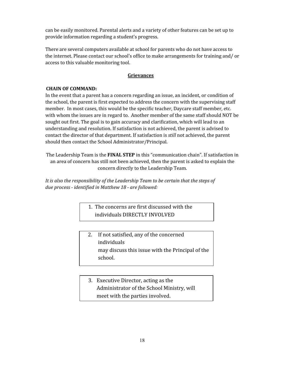can be easily monitored. Parental alerts and a variety of other features can be set up to provide information regarding a student's progress.

There are several computers available at school for parents who do not have access to the internet. Please contact our school's office to make arrangements for training and/ or access to this valuable monitoring tool.

## **Grievances**

## **CHAIN OF COMMAND:**

In the event that a parent has a concern regarding an issue, an incident, or condition of the school, the parent is first expected to address the concern with the supervising staff member. In most cases, this would be the specific teacher, Daycare staff member, etc. with whom the issues are in regard to. Another member of the same staff should NOT be sought out first. The goal is to gain accuracy and clarification, which will lead to an understanding and resolution. If satisfaction is not achieved, the parent is advised to contact the director of that department. If satisfaction is *still* not achieved, the parent should then contact the School Administrator/Principal.

The Leadership Team is the **FINAL STEP** in this "communication chain". If satisfaction in an area of concern has still not been achieved, then the parent is asked to explain the concern directly to the Leadership Team.

*It is also the responsibility of the Leadership Team to be certain that the steps of due process - identified in Matthew 18 - are followed:*

> 1. The concerns are first discussed with the individuals DIRECTLY INVOLVED

- 2. If not satisfied, any of the concerned individuals may discuss this issue with the Principal of the school.
- 3. Executive Director, acting as the Administrator of the School Ministry, will meet with the parties involved.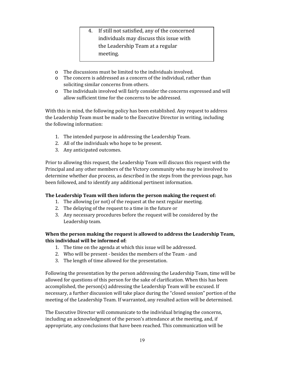- 4. If still not satisfied, any of the concerned individuals may discuss this issue with the Leadership Team at a regular meeting.
- o The discussions must be limited to the individuals involved.
- o The concern is addressed as a concern of the individual, rather than soliciting similar concerns from others.
- o The individuals involved will fairly consider the concerns expressed and will allow sufficient time for the concerns to be addressed.

With this in mind, the following policy has been established. Any request to address the Leadership Team must be made to the Executive Director in writing, including the following information:

- 1. The intended purpose in addressing the Leadership Team.
- 2. All of the individuals who hope to be present.
- 3. Any anticipated outcomes.

Prior to allowing this request, the Leadership Team will discuss this request with the Principal and any other members of the Victory community who may be involved to determine whether due process, as described in the steps from the previous page, has been followed, and to identify any additional pertinent information.

## **The Leadership Team will then inform the person making the request of:**

- 1. The allowing (or not) of the request at the next regular meeting.
- 2. The delaying of the request to a time in the future or
- 3. Any necessary procedures before the request will be considered by the Leadership team.

## **When the person making the request is allowed to address the Leadership Team, this individual will be informed of:**

- 1. The time on the agenda at which this issue will be addressed.
- 2. Who will be present besides the members of the Team and
- 3. The length of time allowed for the presentation.

Following the presentation by the person addressing the Leadership Team, time will be allowed for questions of this person for the sake of clarification. When this has been accomplished, the person(s) addressing the Leadership Team will be excused. If necessary, a further discussion will take place during the "closed session" portion of the meeting of the Leadership Team. If warranted, any resulted action will be determined.

The Executive Director will communicate to the individual bringing the concerns, including an acknowledgment of the person's attendance at the meeting, and, if appropriate, any conclusions that have been reached. This communication will be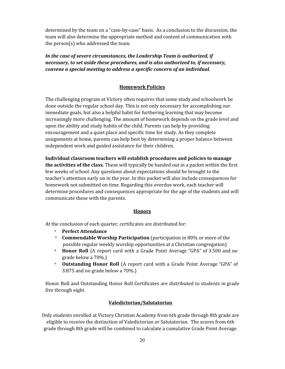determined by the team on a "case-by-case" basis. As a conclusion to the discussion, the team will also determine the appropriate method and content of communication with the person(s) who addressed the team.

*In the case of severe circumstances, the Leadership Team is authorized, if necessary, to set aside these procedures, and is also authorized to, if necessary, convene a special meeting to address a specific concern of an individual.*

## **Homework Policies**

The challenging program at Victory often requires that some study and schoolwork be done outside the regular school day. This is not only necessary for accomplishing our immediate goals, but also a helpful habit for furthering learning that may become increasingly more challenging. The amount of homework depends on the grade level and upon the ability and study habits of the child. Parents can help by providing encouragement and a quiet place and specific time for study. As they complete assignments at home, parents can help best by determining a proper balance between independent work and guided assistance for their children.

**Individual classroom teachers will establish procedures and policies to manage the activities of the class.** These will typically be handed out in a packet within the first few weeks of school. Any questions about expectations should be brought to the teacher's attention early on in the year. In this packet will also include consequences for homework not submitted on time. Regarding this overdue work, each teacher will determine procedures and consequences appropriate for the age of the students and will communicate these with the parents.

#### **Honors**

At the conclusion of each quarter, certificates are distributed for:

- **Perfect Attendance**
- \* **Commendable Worship Participation** (participation in 80% or more of the possible regular weekly worship opportunities at a Christian congregation)
- **Honor Roll** (A report card with a Grade Point Average "GPA" of 3.500 and no grade below a 70%.)
- \* **Outstanding Honor Roll** (A report card with a Grade Point Average "GPA" of 3.875 and no grade below a 70%.)

Honor Roll and Outstanding Honor Roll Certificates are distributed to students in grade five through eight.

## **Valedictorian/Salutatorian**

Only students enrolled at Victory Christian Academy from 6th grade through 8th grade are eligible to receive the distinction of Valedictorian or Salutatorian. The scores from 6th grade through 8th grade will be combined to calculate a cumulative Grade Point Average.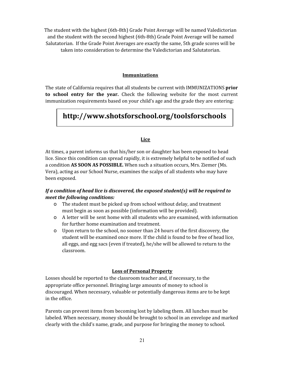The student with the highest (6th-8th) Grade Point Average will be named Valedictorian and the student with the second highest (6th-8th) Grade Point Average will be named Salutatorian. If the Grade Point Averages are exactly the same, 5th grade scores will be taken into consideration to determine the Valedictorian and Salutatorian.

#### **Immunizations**

The state of California requires that all students be current with IMMUNIZATIONS **prior to school entry for the year.** Check the following website for the most current immunization requirements based on your child's age and the grade they are entering:

## **http://www.shotsforschool.org/toolsforschools**

#### **Lice**

At times, a parent informs us that his/her son or daughter has been exposed to head lice. Since this condition can spread rapidly, it is extremely helpful to be notified of such a condition **AS SOON AS POSSIBLE.** When such a situation occurs, Mrs. Ziemer (Ms. Vera), acting as our School Nurse, examines the scalps of all students who may have been exposed.

## *If a condition of head lice is discovered, the exposed student(s) will be required to meet the following conditions:*

- o The student must be picked up from school without delay, and treatment must begin as soon as possible (information will be provided).
- o A letter will be sent home with all students who are examined, with information for further home examination and treatment.
- o Upon return to the school, no sooner than 24 hours of the first discovery, the student will be examined once more. If the child is found to be free of head lice, all eggs, and egg sacs (even if treated), he/she will be allowed to return to the classroom.

#### **Loss of Personal Property**

Losses should be reported to the classroom teacher and, if necessary, to the appropriate office personnel. Bringing large amounts of money to school is discouraged. When necessary, valuable or potentially dangerous items are to be kept in the office.

Parents can prevent items from becoming lost by labeling them. All lunches must be labeled. When necessary, money should be brought to school in an envelope and marked clearly with the child's name, grade, and purpose for bringing the money to school.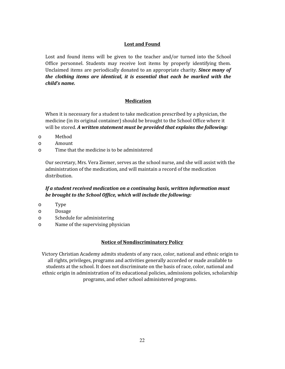## **Lost and Found**

Lost and found items will be given to the teacher and/or turned into the School Office personnel. Students may receive lost items by properly identifying them. Unclaimed items are periodically donated to an appropriate charity. *Since many of the clothing items are identical, it is essential that each be marked with the child's name.*

## **Medication**

When it is necessary for a student to take medication prescribed by a physician, the medicine (in its original container) should be brought to the School Office where it will be stored. *A written statement must be provided that explains the following:*

- o Method
- o Amount
- o Time that the medicine is to be administered

Our secretary, Mrs. Vera Ziemer, serves as the school nurse, and she will assist with the administration of the medication, and will maintain a record of the medication distribution.

## *If a student received medication on a continuing basis, written information must be brought to the School Office, which will include the following:*

- o Type
- o Dosage
- o Schedule for administering
- o Name of the supervising physician

## **Notice of Nondiscriminatory Policy**

Victory Christian Academy admits students of any race, color, national and ethnic origin to all rights, privileges, programs and activities generally accorded or made available to students at the school. It does not discriminate on the basis of race, color, national and ethnic origin in administration of its educational policies, admissions policies, scholarship programs, and other school administered programs.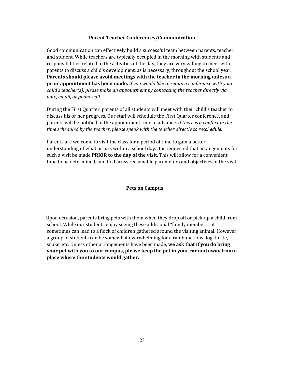#### **Parent Teacher Conferences/Communication**

Good communication can effectively build a successful team between parents, teacher, and student. While teachers are typically occupied in the morning with students and responsibilities related to the activities of the day, they are very willing to meet with parents to discuss a child's development, as is necessary, throughout the school year. **Parents should please avoid meetings with the teacher in the morning unless a prior appointment has been made.** *If you would like to set up a conference with your child's teacher(s), please make an appointment by contacting the teacher directly via note, email, or phone call.*

During the First Quarter, parents of all students will meet with their child's teacher to discuss his or her progress. Our staff will schedule the First Quarter conference, and parents will be notified of the appointment time in advance. *If there is a conflict in the time scheduled by the teacher, please speak with the teacher directly to reschedule.*

Parents are welcome to visit the class for a period of time to gain a better understanding of what occurs within a school day. It is requested that arrangements for such a visit be made **PRIOR to the day of the visit**. This will allow for a convenient time to be determined, and to discuss reasonable parameters and objectives of the visit.

#### **Pets on Campus**

Upon occasion, parents bring pets with them when they drop off or pick-up a child from school. While our students enjoy seeing these additional "family members", it sometimes can lead to a flock of children gathered around the visiting animal. However, a group of students can be somewhat overwhelming for a rambunctious dog, turtle, snake, etc. Unless other arrangements have been made, **we ask that if you do bring your pet with you to our campus, please keep the pet in your car and away from a place where the students would gather.**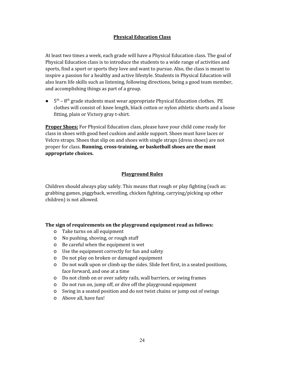## **Physical Education Class**

At least two times a week, each grade will have a Physical Education class. The goal of Physical Education class is to introduce the students to a wide range of activities and sports, find a sport or sports they love and want to pursue. Also, the class is meant to inspire a passion for a healthy and active lifestyle. Students in Physical Education will also learn life skills such as listening, following directions, being a good team member, and accomplishing things as part of a group.

 $\bullet$  5<sup>th</sup> – 8<sup>th</sup> grade students must wear appropriate Physical Education clothes. PE clothes will consist of: knee length, black cotton or nylon athletic shorts and a loose fitting, plain or Victory gray t-shirt.

**Proper Shoes:** For Physical Education class, please have your child come ready for class in shoes with good heel cushion and ankle support. Shoes must have laces or Velcro straps. Shoes that slip on and shoes with single straps (dress shoes) are not proper for class. **Running, cross-training, or basketball shoes are the most appropriate choices.**

## **Playground Rules**

Children should always play safely. This means that rough or play fighting (such as: grabbing games, piggyback, wrestling, chicken fighting, carrying/picking up other children) is not allowed.

#### **The sign of requirements on the playground equipment read as follows:**

- o Take turns on all equipment
- o No pushing, shoving, or rough stuff
- o Be careful when the equipment is wet
- o Use the equipment correctly for fun and safety
- o Do not play on broken or damaged equipment
- o Do not walk upon or climb up the sides. Slide feet first, in a seated positions, face forward, and one at a time
- o Do not climb on or over safety rails, wall barriers, or swing frames
- o Do not run on, jump off, or dive off the playground equipment
- o Swing in a seated position and do not twist chains or jump out of swings
- o Above all, have fun!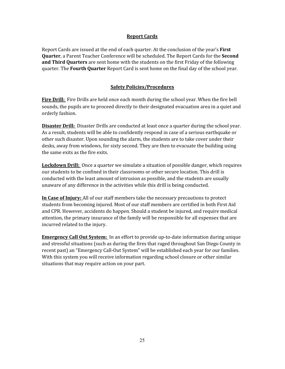#### **Report Cards**

Report Cards are issued at the end of each quarter. At the conclusion of the year's **First Quarter**, a Parent Teacher Conference will be scheduled. The Report Cards for the **Second and Third Quarters** are sent home with the students on the first Friday of the following quarter. The **Fourth Quarter** Report Card is sent home on the final day of the school year.

## **Safety Policies/Procedures**

**Fire Drill:** Fire Drills are held once each month during the school year. When the fire bell sounds, the pupils are to proceed directly to their designated evacuation area in a quiet and orderly fashion.

**Disaster Drill:** Disaster Drills are conducted at least once a quarter during the school year. As a result, students will be able to confidently respond in case of a serious earthquake or other such disaster. Upon sounding the alarm, the students are to take cover under their desks, away from windows, for sixty second. They are then to evacuate the building using the same exits as the fire exits.

**Lockdown Drill:** Once a quarter we simulate a situation of possible danger, which requires our students to be confined in their classrooms or other secure location. This drill is conducted with the least amount of intrusion as possible, and the students are usually unaware of any difference in the activities while this drill is being conducted.

**In Case of Injury:** All of our staff members take the necessary precautions to protect students from becoming injured. Most of our staff members are certified in both First Aid and CPR. However, accidents do happen. Should a student be injured, and require medical attention, the primary insurance of the family will be responsible for all expenses that are incurred related to the injury.

**Emergency Call Out System:** In an effort to provide up-to-date information during unique and stressful situations (such as during the fires that raged throughout San Diego County in recent past) an "Emergency Call-Out System" will be established each year for our families. With this system you will receive information regarding school closure or other similar situations that may require action on your part.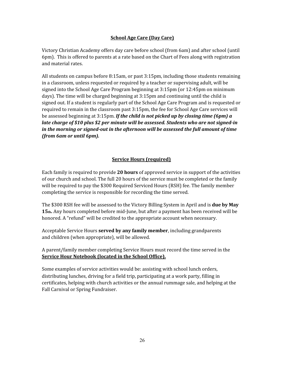## **School Age Care (Day Care)**

Victory Christian Academy offers day care before school (from 6am) and after school (until 6pm). This is offered to parents at a rate based on the Chart of Fees along with registration and material rates.

All students on campus before 8:15am, or past 3:15pm, including those students remaining in a classroom, unless requested or required by a teacher or supervising adult, will be signed into the School Age Care Program beginning at 3:15pm (or 12:45pm on minimum days). The time will be charged beginning at 3:15pm and continuing until the child is signed out. If a student is regularly part of the School Age Care Program and is requested or required to remain in the classroom past 3:15pm, the fee for School Age Care services will be assessed beginning at 3:15pm. *If the child is not picked up by closing time (6pm) a late charge of \$10 plus \$2 per minute will be assessed. Students who are not signed-in in the morning or signed-out in the afternoon will be assessed the full amount of time (from 6am or until 6pm).*

## **Service Hours (required)**

Each family is required to provide **20 hours** of approved service in support of the activities of our church and school. The full 20 hours of the service must be completed or the family will be required to pay the \$300 Required Serviced Hours (RSH) fee. The family member completing the service is responsible for recording the time served.

The \$300 RSH fee will be assessed to the Victory Billing System in April and is **due by May 15th.** Any hours completed before mid-June, but after a payment has been received will be honored. A "refund" will be credited to the appropriate account when necessary.

Acceptable Service Hours **served by any family member**, including grandparents and children (when appropriate), will be allowed.

A parent/family member completing Service Hours must record the time served in the **Service Hour Notebook (located in the School Office).**

Some examples of service activities would be: assisting with school lunch orders, distributing lunches, driving for a field trip, participating at a work party, filling in certificates, helping with church activities or the annual rummage sale, and helping at the Fall Carnival or Spring Fundraiser.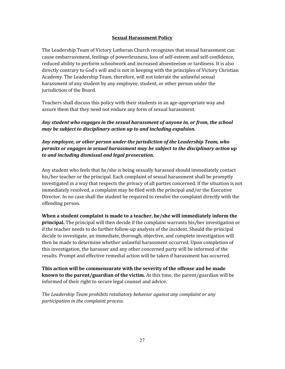## **Sexual Harassment Policy**

The Leadership Team of Victory Lutheran Church recognizes that sexual harassment can cause embarrassment, feelings of powerlessness, loss of self-esteem and self-confidence, reduced ability to perform schoolwork and increased absenteeism or tardiness. It is also directly contrary to God's will and is not in keeping with the principles of Victory Christian Academy. The Leadership Team, therefore, will not tolerate the unlawful sexual harassment of any student by any employee, student, or other person under the jurisdiction of the Board.

Teachers shall discuss this policy with their students in an age-appropriate way and assure them that they need not endure any form of sexual harassment.

## *Any student who engages in the sexual harassment of anyone in, or from, the school may be subject to disciplinary action up to and including expulsion.*

## *Any employee, or other person under the jurisdiction of the Leadership Team, who permits or engages in sexual harassment may be subject to the disciplinary action up to and including dismissal and legal prosecution.*

Any student who feels that he/she is being sexually harassed should immediately contact his/her teacher or the principal. Each complaint of sexual harassment shall be promptly investigated in a way that respects the privacy of all parties concerned. If the situation is not immediately resolved, a complaint may be filed with the principal and/or the Executive Director. In no case shall the student be required to resolve the complaint directly with the offending person.

**When a student complaint is made to a teacher, he/she will immediately inform the principal.** The principal will then decide if the complaint warrants his/her investigation or if the teacher needs to do further follow-up analysis of the incident. Should the principal decide to investigate, an immediate, thorough, objective, and complete investigation will then be made to determine whether unlawful harassment occurred. Upon completion of this investigation, the harasser and any other concerned party will be informed of the results. Prompt and effective remedial action will be taken if harassment has occurred.

**This action will be commensurate with the severity of the offense and be made known to the parent/guardian of the victim.** At this time, the parent/guardian will be informed of their right to secure legal counsel and advice.

*The Leadership Team prohibits retaliatory behavior against any complaint or any participation in the complaint process.*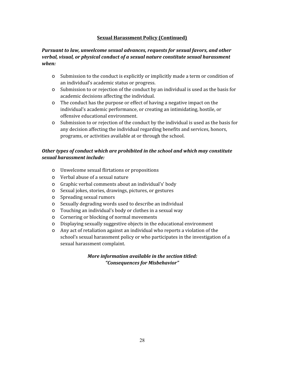## **Sexual Harassment Policy (Continued)**

## *Pursuant to law, unwelcome sexual advances, requests for sexual favors, and other verbal, visual, or physical conduct of a sexual nature constitute sexual harassment when:*

- o Submission to the conduct is explicitly or implicitly made a term or condition of an individual's academic status or progress.
- o Submission to or rejection of the conduct by an individual is used as the basis for academic decisions affecting the individual.
- o The conduct has the purpose or effect of having a negative impact on the individual's academic performance, or creating an intimidating, hostile, or offensive educational environment.
- o Submission to or rejection of the conduct by the individual is used as the basis for any decision affecting the individual regarding benefits and services, honors, programs, or activities available at or through the school.

## *Other types of conduct which are prohibited in the school and which may constitute sexual harassment include:*

- o Unwelcome sexual flirtations or propositions
- o Verbal abuse of a sexual nature
- o Graphic verbal comments about an individual's' body
- o Sexual jokes, stories, drawings, pictures, or gestures
- o Spreading sexual rumors
- o Sexually degrading words used to describe an individual
- o Touching an individual's body or clothes in a sexual way
- o Cornering or blocking of normal movements
- o Displaying sexually suggestive objects in the educational environment
- o Any act of retaliation against an individual who reports a violation of the school's sexual harassment policy or who participates in the investigation of a sexual harassment complaint.

## *More information available in the section titled: "Consequences for Misbehavior"*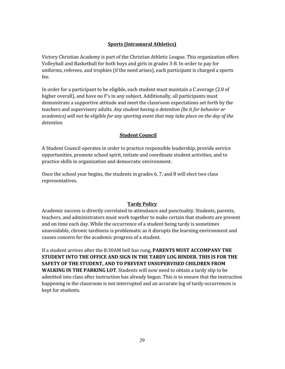## **Sports (Intramural Athletics)**

Victory Christian Academy is part of the Christian Athletic League. This organization offers Volleyball and Basketball for both boys and girls in grades 3-8. In order to pay for uniforms, referees, and trophies (if the need arises), each participant is charged a sports fee.

In order for a participant to be eligible, each student must maintain a C average (2.0 of higher overall), and have no F's in any subject. Additionally, all participants must demonstrate a supportive attitude and meet the classroom expectations set forth by the teachers and supervisory adults*. Any student having a detention (be it for behavior or academics) will not be eligible for any sporting event that may take place on the day of the detention.*

## **Student Council**

A Student Council operates in order to practice responsible leadership, provide service opportunities, promote school spirit, initiate and coordinate student activities, and to practice skills in organization and democratic environment.

Once the school year begins, the students in grades 6, 7, and 8 will elect two class representatives.

#### **Tardy Policy**

Academic success is directly correlated to attendance and punctuality. Students, parents, teachers, and administrators must work together to make certain that students are present and on time each day. While the occurrence of a student being tardy is sometimes unavoidable, chronic tardiness is problematic as it disrupts the learning environment and causes concern for the academic progress of a student.

If a student arrives after the 8:30AM bell has rung, **PARENTS MUST ACCOMPANY THE STUDENT INTO THE OFFICE AND SIGN IN THE TARDY LOG BINDER. THIS IS FOR THE SAFETY OF THE STUDENT, AND TO PREVENT UNSUPERVISED CHILDREN FROM WALKING IN THE PARKING LOT**. Students will now need to obtain a tardy slip to be admitted into class after instruction has already begun. This is to ensure that the instruction happening in the classroom is not interrupted and an accurate log of tardy occurrences is kept for students.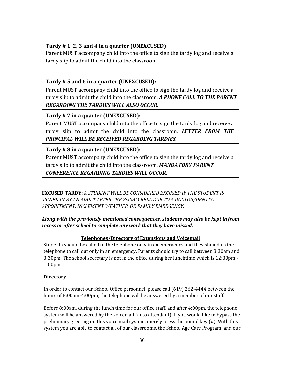## **Tardy # 1, 2, 3 and 4 in a quarter (UNEXCUSED)**

Parent MUST accompany child into the office to sign the tardy log and receive a tardy slip to admit the child into the classroom.

## **Tardy # 5 and 6 in a quarter (UNEXCUSED):**

Parent MUST accompany child into the office to sign the tardy log and receive a tardy slip to admit the child into the classroom. *A PHONE CALL TO THE PARENT REGARDING THE TARDIES WILL ALSO OCCUR.*

## **Tardy # 7 in a quarter (UNEXCUSED):**

Parent MUST accompany child into the office to sign the tardy log and receive a tardy slip to admit the child into the classroom. *LETTER FROM THE PRINCIPAL WILL BE RECEIVED REGARDING TARDIES.*

## **Tardy # 8 in a quarter (UNEXCUSED):**

Parent MUST accompany child into the office to sign the tardy log and receive a tardy slip to admit the child into the classroom. *MANDATORY PARENT CONFERENCE REGARDING TARDIES WILL OCCUR.*

**EXCUSED TARDY:** *A STUDENT WILL BE CONSIDERED EXCUSED IF THE STUDENT IS SIGNED IN BY AN ADULT AFTER THE 8:30AM BELL DUE TO A DOCTOR/DENTIST APPOINTMENT, INCLEMENT WEATHER, OR FAMILY EMERGENCY.*

## *Along with the previously mentioned consequences, students may also be kept in from recess or after school to complete any work that they have missed.*

## **Telephones/Directory of Extensions and Voicemail**

Students should be called to the telephone only in an emergency and they should us the telephone to call out only in an emergency. Parents should try to call between 8:30am and 3:30pm. The school secretary is not in the office during her lunchtime which is 12:30pm - 1:00pm.

## **Directory**

In order to contact our School Office personnel, please call (619) 262-4444 between the hours of 8:00am-4:00pm; the telephone will be answered by a member of our staff.

Before 8:00am, during the lunch time for our office staff, and after 4:00pm, the telephone system will be answered by the voicemail (auto attendant). If you would like to bypass the preliminary greeting on this voice mail system, merely press the pound key (#). With this system you are able to contact all of our classrooms, the School Age Care Program, and our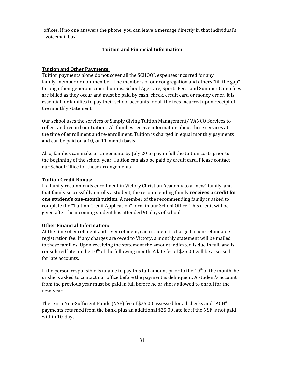offices. If no one answers the phone, you can leave a message directly in that individual's "voicemail box".

## **Tuition and Financial Information**

#### **Tuition and Other Payments:**

Tuition payments alone do not cover all the SCHOOL expenses incurred for any family-member or non-member. The members of our congregation and others "fill the gap" through their generous contributions. School Age Care, Sports Fees, and Summer Camp fees are billed as they occur and must be paid by cash, check, credit card or money order. It is essential for families to pay their school accounts for all the fees incurred upon receipt of the monthly statement.

Our school uses the services of Simply Giving Tuition Management/ VANCO Services to collect and record our tuition. All families receive information about these services at the time of enrollment and re-enrollment. Tuition is charged in equal monthly payments and can be paid on a 10, or 11-month basis.

Also, families can make arrangements by July 20 to pay in full the tuition costs prior to the beginning of the school year. Tuition can also be paid by credit card. Please contact our School Office for these arrangements.

#### **Tuition Credit Bonus:**

If a family recommends enrollment in Victory Christian Academy to a "new" family, and that family successfully enrolls a student, the recommending family **receives a credit for one student's one-month tuition.** A member of the recommending family is asked to complete the "Tuition Credit Application" form in our School Office. This credit will be given after the incoming student has attended 90 days of school.

#### **Other Financial Information:**

At the time of enrollment and re-enrollment, each student is charged a non-refundable registration fee. If any charges are owed to Victory, a monthly statement will be mailed to these families. Upon receiving the statement the amount indicated is due in full, and is considered late on the  $10<sup>th</sup>$  of the following month. A late fee of \$25.00 will be assessed for late accounts.

If the person responsible is unable to pay this full amount prior to the  $10^{\text{th}}$  of the month, he or she is asked to contact our office before the payment is delinquent. A student's account from the previous year must be paid in full before he or she is allowed to enroll for the new-year.

There is a Non-Sufficient Funds (NSF) fee of \$25.00 assessed for all checks and "ACH" payments returned from the bank, plus an additional \$25.00 late fee if the NSF is not paid within 10-days.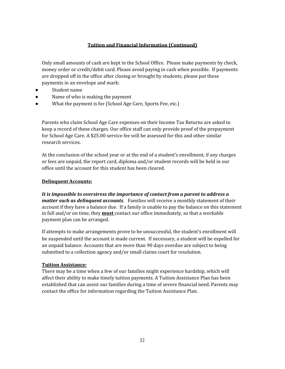## **Tuition and Financial Information (Continued)**

Only small amounts of cash are kept in the School Office. Please make payments by check, money order or credit/debit card. Please avoid paying in cash when possible. If payments are dropped off in the office after closing or brought by students, please put these payments in an envelope and mark:

- Student name
- Name of who is making the payment
- What the payment is for (School Age Care, Sports Fee, etc.)

Parents who claim School Age Care expenses on their Income Tax Returns are asked to keep a record of these charges. Our office staff can only provide proof of the prepayment for School Age Care. A \$25.00 service fee will be assessed for this and other similar research services.

At the conclusion of the school year or at the end of a student's enrollment, if any charges or fees are unpaid, the report card, diploma and/or student records will be held in our office until the account for this student has been cleared.

#### **Delinquent Accounts:**

*It is impossible to overstress the importance of contact from a parent to address a matter such as delinquent accounts*. Families will receive a monthly statement of their account if they have a balance due. If a family is unable to pay the balance on this statement in full and/or on time, they **must** contact our office immediately, so that a workable payment plan can be arranged.

If attempts to make arrangements prove to be unsuccessful, the student's enrollment will be suspended until the account is made current. If necessary, a student will be expelled for an unpaid balance. Accounts that are more than 90 days overdue are subject to being submitted to a collection agency and/or small claims court for resolution.

## **Tuition Assistance:**

There may be a time when a few of our families might experience hardship, which will affect their ability to make timely tuition payments. A Tuition Assistance Plan has been established that can assist our families during a time of severe financial need. Parents may contact the office for information regarding the Tuition Assistance Plan.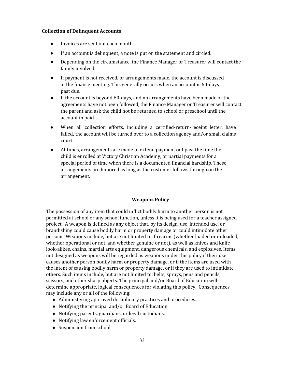#### **Collection of Delinquent Accounts**

- Invoices are sent out each month.
- If an account is delinquent, a note is put on the statement and circled.
- Depending on the circumstance, the Finance Manager or Treasurer will contact the family involved.
- If payment is not received, or arrangements made, the account is discussed at the finance meeting. This generally occurs when an account is 60-days past due.
- If the account is beyond 60-days, and no arrangements have been made or the agreements have not been followed, the Finance Manager or Treasurer will contact the parent and ask the child not be returned to school or preschool until the account in paid.
- When all collection efforts, including a certified-return-receipt letter, have failed, the account will be turned over to a collection agency and/or small claims court.
- At times, arrangements are made to extend payment out past the time the child is enrolled at Victory Christian Academy, or partial payments for a special period of time when there is a documented financial hardship. These arrangements are honored as long as the customer follows through on the arrangement.

## **Weapons Policy**

The possession of any item that could inflict bodily harm to another person is not permitted at school or any school function, unless it is being used for a teacher assigned project. A weapon is defined as any object that, by its design, use, intended use, or brandishing could cause bodily harm or property damage or could intimidate other persons. Weapons include, but are not limited to, firearms (whether loaded or unloaded, whether operational or not, and whether genuine or not), as well as knives and knife look-alikes, chains, martial arts equipment, dangerous chemicals, and explosives. Items not designed as weapons will be regarded as weapons under this policy if their use causes another person bodily harm or property damage, or if the items are used with the intent of causing bodily harm or property damage, or if they are used to intimidate others. Such items include, but are not limited to, belts, sprays, pens and pencils, scissors, and other sharp objects. The principal and/or Board of Education will determine appropriate, logical consequences for violating this policy. Consequences may include any or all of the following:

- Administering approved disciplinary practices and procedures.
- Notifying the principal and/or Board of Education.
- Notifying parents, guardians, or legal custodians.
- Notifying law enforcement officials.
- Suspension from school.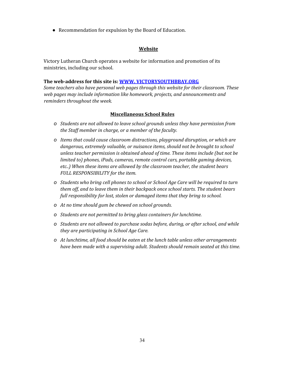● Recommendation for expulsion by the Board of Education.

#### **Website**

Victory Lutheran Church operates a website for information and promotion of its ministries, including our school.

#### **The web-address for this site is: WWW. [VICTORYSOUTHBBAY.ORG](http://www.pilgrimcv.org/)**

*Some teachers also have personal web pages through this website for their classroom. These web pages may include information like homework, projects, and announcements and reminders throughout the week.*

#### **Miscellaneous School Rules**

- *o Students are not allowed to leave school grounds unless they have permission from the Staf member in charge, or a member of the faculty.*
- *o Items that could cause classroom distractions, playground disruption, or which are dangerous, extremely valuable, or nuisance items, should not be brought to school unless teacher permission is obtained ahead of time. These items include (but not be limited to) phones, iPads, cameras, remote control cars, portable gaming devices, etc..) When these items are allowed by the classroom teacher, the student bears FULL RESPONSIBILITY for the item.*
- *o Students who bring cell phones to school or School Age Care will be required to turn them of , and to leave them in their backpack once school starts. The student bears full responsibility for lost, stolen or damaged items that they bring to school.*
- *o At no time should gum be chewed on school grounds.*
- *o Students are not permitted to bring glass containers for lunchtime.*
- *o Students are not allowed to purchase sodas before, during, or after school, and while they are participating in School Age Care.*
- *o At lunchtime, all food should be eaten at the lunch table unless other arrangements have been made with a supervising adult. Students should remain seated at this time.*